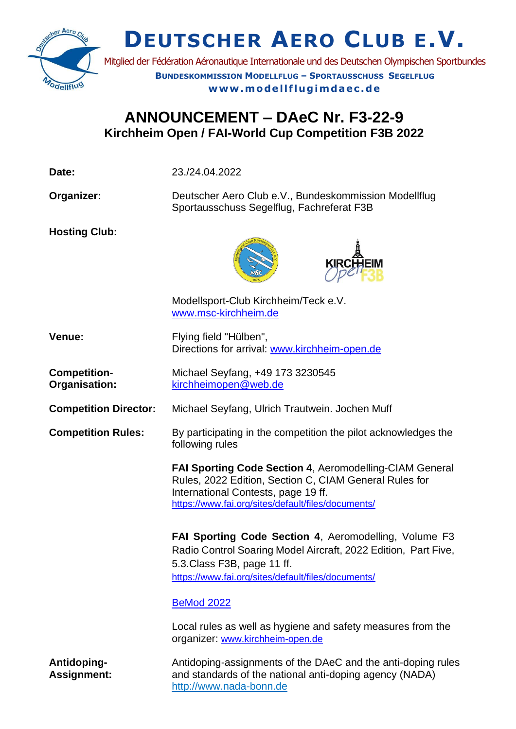

**DEUTSCHER AERO CLUB E.V.**

Mitglied der Fédération Aéronautique Internationale und des Deutschen Olympischen Sportbundes **BUNDESKOMMISSION MODELLFLUG – SPORTAUSSCHUSS SEGELFLUG** www.modellflugimdaec.de

## **ANNOUNCEMENT – DAeC Nr. F3-22-9 Kirchheim Open / FAI-World Cup Competition F3B 2022**

| Date:                                | 23./24.04.2022                                                                                                                                                                                                      |  |
|--------------------------------------|---------------------------------------------------------------------------------------------------------------------------------------------------------------------------------------------------------------------|--|
| Organizer:                           | Deutscher Aero Club e.V., Bundeskommission Modellflug<br>Sportausschuss Segelflug, Fachreferat F3B                                                                                                                  |  |
| <b>Hosting Club:</b>                 |                                                                                                                                                                                                                     |  |
|                                      | Modellsport-Club Kirchheim/Teck e.V.<br>www.msc-kirchheim.de                                                                                                                                                        |  |
| Venue:                               | Flying field "Hülben",<br>Directions for arrival: www.kirchheim-open.de                                                                                                                                             |  |
| <b>Competition-</b><br>Organisation: | Michael Seyfang, +49 173 3230545<br>kirchheimopen@web.de                                                                                                                                                            |  |
| <b>Competition Director:</b>         | Michael Seyfang, Ulrich Trautwein. Jochen Muff                                                                                                                                                                      |  |
| <b>Competition Rules:</b>            | By participating in the competition the pilot acknowledges the<br>following rules                                                                                                                                   |  |
|                                      | FAI Sporting Code Section 4, Aeromodelling-CIAM General<br>Rules, 2022 Edition, Section C, CIAM General Rules for<br>International Contests, page 19 ff.<br>https://www.fai.org/sites/default/files/documents/      |  |
|                                      | <b>FAI Sporting Code Section 4, Aeromodelling, Volume F3</b><br>Radio Control Soaring Model Aircraft, 2022 Edition, Part Five,<br>5.3. Class F3B, page 11 ff.<br>https://www.fai.org/sites/default/files/documents/ |  |
|                                      | <b>BeMod 2022</b>                                                                                                                                                                                                   |  |
|                                      | Local rules as well as hygiene and safety measures from the<br>organizer: www.kirchheim-open.de                                                                                                                     |  |
| Antidoping-<br><b>Assignment:</b>    | Antidoping-assignments of the DAeC and the anti-doping rules<br>and standards of the national anti-doping agency (NADA)<br>http://www.nada-bonn.de                                                                  |  |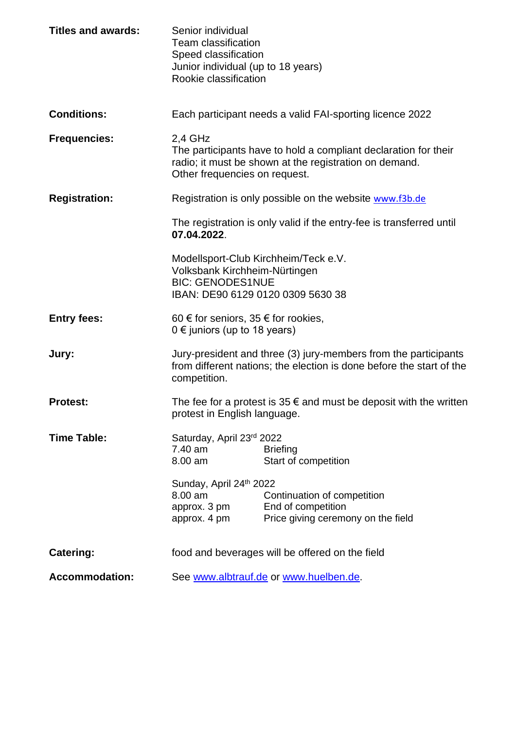| <b>Titles and awards:</b> | Senior individual<br><b>Team classification</b><br>Speed classification<br>Junior individual (up to 18 years)<br>Rookie classification                                  |                                                                                         |  |
|---------------------------|-------------------------------------------------------------------------------------------------------------------------------------------------------------------------|-----------------------------------------------------------------------------------------|--|
| <b>Conditions:</b>        |                                                                                                                                                                         | Each participant needs a valid FAI-sporting licence 2022                                |  |
| <b>Frequencies:</b>       | $2,4$ GHz<br>The participants have to hold a compliant declaration for their<br>radio; it must be shown at the registration on demand.<br>Other frequencies on request. |                                                                                         |  |
| <b>Registration:</b>      |                                                                                                                                                                         | Registration is only possible on the website www.f3b.de                                 |  |
|                           | The registration is only valid if the entry-fee is transferred until<br>07.04.2022.                                                                                     |                                                                                         |  |
|                           | Modellsport-Club Kirchheim/Teck e.V.<br>Volksbank Kirchheim-Nürtingen<br><b>BIC: GENODES1NUE</b><br>IBAN: DE90 6129 0120 0309 5630 38                                   |                                                                                         |  |
| <b>Entry fees:</b>        | 60 € for seniors, 35 € for rookies,<br>$0 \in \mathfrak{j}$ uniors (up to 18 years)                                                                                     |                                                                                         |  |
| Jury:                     | Jury-president and three (3) jury-members from the participants<br>from different nations; the election is done before the start of the<br>competition.                 |                                                                                         |  |
| <b>Protest:</b>           | The fee for a protest is $35 \notin$ and must be deposit with the written<br>protest in English language.                                                               |                                                                                         |  |
| <b>Time Table:</b>        | Saturday, April 23rd 2022<br>7.40 am<br>8.00 am                                                                                                                         | <b>Briefing</b><br>Start of competition                                                 |  |
|                           | Sunday, April 24th 2022<br>8.00 am<br>approx. 3 pm<br>approx. 4 pm                                                                                                      | Continuation of competition<br>End of competition<br>Price giving ceremony on the field |  |
| <b>Catering:</b>          | food and beverages will be offered on the field                                                                                                                         |                                                                                         |  |
| <b>Accommodation:</b>     | See www.albtrauf.de or www.huelben.de.                                                                                                                                  |                                                                                         |  |